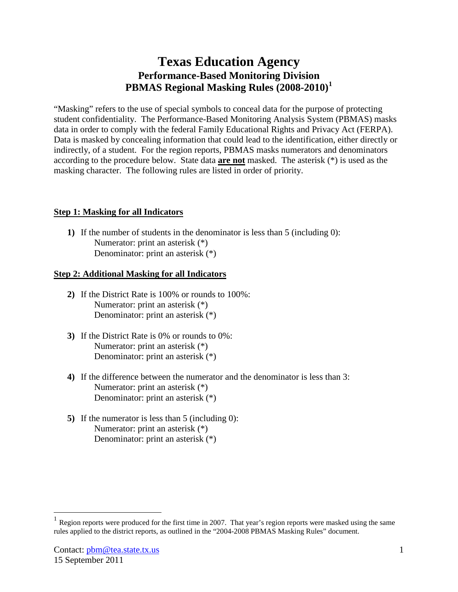## **Texas Education Agency Performance-Based Monitoring Division PBMAS Regional Masking Rules (2008-2010) [1](#page-0-0)**

"Masking" refers to the use of special symbols to conceal data for the purpose of protecting student confidentiality. The Performance-Based Monitoring Analysis System (PBMAS) masks data in order to comply with the federal Family Educational Rights and Privacy Act (FERPA). Data is masked by concealing information that could lead to the identification, either directly or indirectly, of a student. For the region reports, PBMAS masks numerators and denominators according to the procedure below. State data **are not** masked. The asterisk (\*) is used as the masking character. The following rules are listed in order of priority.

## **Step 1: Masking for all Indicators**

**1)** If the number of students in the denominator is less than 5 (including 0): Numerator: print an asterisk (\*) Denominator: print an asterisk (\*)

## **Step 2: Additional Masking for all Indicators**

- **2)** If the District Rate is 100% or rounds to 100%: Numerator: print an asterisk (\*) Denominator: print an asterisk (\*)
- **3)** If the District Rate is 0% or rounds to 0%: Numerator: print an asterisk (\*) Denominator: print an asterisk (\*)
- **4)** If the difference between the numerator and the denominator is less than 3: Numerator: print an asterisk (\*) Denominator: print an asterisk (\*)
- **5)** If the numerator is less than 5 (including 0): Numerator: print an asterisk (\*) Denominator: print an asterisk (\*)

<span id="page-0-0"></span>Region reports were produced for the first time in 2007. That year's region reports were masked using the same rules applied to the district reports, as outlined in the "2004-2008 PBMAS Masking Rules" document.